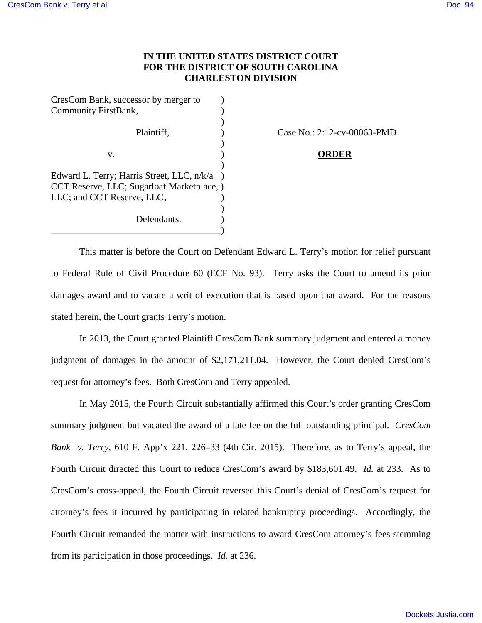## **IN THE UNITED STATES DISTRICT COURT FOR THE DISTRICT OF SOUTH CAROLINA CHARLESTON DIVISION**

| CresCom Bank, successor by merger to       |  |
|--------------------------------------------|--|
| Community FirstBank,                       |  |
|                                            |  |
| Plaintiff,                                 |  |
|                                            |  |
| v.                                         |  |
|                                            |  |
| Edward L. Terry; Harris Street, LLC, n/k/a |  |
| CCT Reserve, LLC; Sugarloaf Marketplace, ) |  |
| LLC; and CCT Reserve, LLC,                 |  |
|                                            |  |
| Defendants.                                |  |
|                                            |  |

Case No.: 2:12-cv-00063-PMD

## v. ) **ORDER**

This matter is before the Court on Defendant Edward L. Terry's motion for relief pursuant to Federal Rule of Civil Procedure 60 (ECF No. 93). Terry asks the Court to amend its prior damages award and to vacate a writ of execution that is based upon that award. For the reasons stated herein, the Court grants Terry's motion.

In 2013, the Court granted Plaintiff CresCom Bank summary judgment and entered a money judgment of damages in the amount of \$2,171,211.04. However, the Court denied CresCom's request for attorney's fees. Both CresCom and Terry appealed.

In May 2015, the Fourth Circuit substantially affirmed this Court's order granting CresCom summary judgment but vacated the award of a late fee on the full outstanding principal. *CresCom Bank v. Terry*, 610 F. App'x 221, 226–33 (4th Cir. 2015). Therefore, as to Terry's appeal, the Fourth Circuit directed this Court to reduce CresCom's award by \$183,601.49. *Id.* at 233. As to CresCom's cross-appeal, the Fourth Circuit reversed this Court's denial of CresCom's request for attorney's fees it incurred by participating in related bankruptcy proceedings. Accordingly, the Fourth Circuit remanded the matter with instructions to award CresCom attorney's fees stemming from its participation in those proceedings. *Id.* at 236.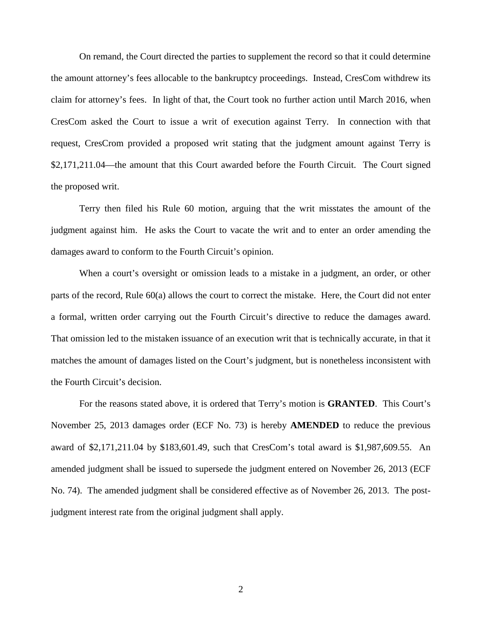On remand, the Court directed the parties to supplement the record so that it could determine the amount attorney's fees allocable to the bankruptcy proceedings. Instead, CresCom withdrew its claim for attorney's fees. In light of that, the Court took no further action until March 2016, when CresCom asked the Court to issue a writ of execution against Terry. In connection with that request, CresCrom provided a proposed writ stating that the judgment amount against Terry is \$2,171,211.04—the amount that this Court awarded before the Fourth Circuit. The Court signed the proposed writ.

Terry then filed his Rule 60 motion, arguing that the writ misstates the amount of the judgment against him. He asks the Court to vacate the writ and to enter an order amending the damages award to conform to the Fourth Circuit's opinion.

When a court's oversight or omission leads to a mistake in a judgment, an order, or other parts of the record, Rule 60(a) allows the court to correct the mistake. Here, the Court did not enter a formal, written order carrying out the Fourth Circuit's directive to reduce the damages award. That omission led to the mistaken issuance of an execution writ that is technically accurate, in that it matches the amount of damages listed on the Court's judgment, but is nonetheless inconsistent with the Fourth Circuit's decision.

For the reasons stated above, it is ordered that Terry's motion is **GRANTED**. This Court's November 25, 2013 damages order (ECF No. 73) is hereby **AMENDED** to reduce the previous award of \$2,171,211.04 by \$183,601.49, such that CresCom's total award is \$1,987,609.55. An amended judgment shall be issued to supersede the judgment entered on November 26, 2013 (ECF No. 74). The amended judgment shall be considered effective as of November 26, 2013. The postjudgment interest rate from the original judgment shall apply.